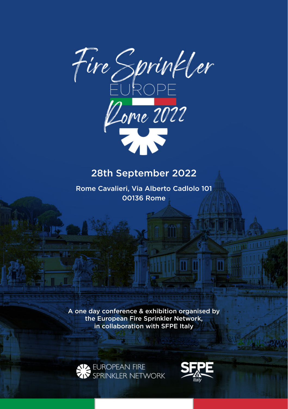

## 28th September 2022

Rome Cavalieri, Via Alberto Cadlolo 101 00136 Rome

A one day conference & exhibition organised by the European Fire Sprinkler Network. in collaboration with SFPE Italy



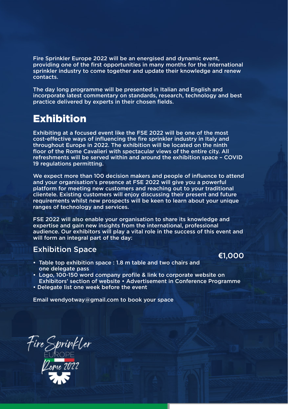Fire Sprinkler Europe 2022 will be an energised and dynamic event, providing one of the first opportunities in many months for the international sprinkler industry to come together and update their knowledge and renew contacts.

The day long programme will be presented in Italian and English and incorporate latest commentary on standards, research, technology and best practice delivered by experts in their chosen fields.

## Exhibition

Exhibiting at a focused event like the FSE 2022 will be one of the most cost-effective ways of influencing the fire sprinkler industry in Italy and throughout Europe in 2022. The exhibition will be located on the ninth floor of the Rome Cavalieri with spectacular views of the entire city. All refreshments will be served within and around the exhibition space – COVID 19 regulations permitting.

We expect more than 100 decision makers and people of influence to attend and your organisation's presence at FSE 2022 will give you a powerful platform for meeting new customers and reaching out to your traditional clientele. Existing customers will enjoy discussing their present and future requirements whilst new prospects will be keen to learn about your unique ranges of technology and services.

FSE 2022 will also enable your organisation to share its knowledge and expertise and gain new insights from the international, professional audience. Our exhibitors will play a vital role in the success of this event and will form an integral part of the day:

- Exhibition Space **€**1,000 Table top exhibition space : 1.8 m table and two chairs and one delegate pass
- Logo, 100-150 word company profile & link to corporate website on Exhibitors' section of website • Advertisement in Conference Programme
- Delegate list one week before the event

Email wendyotway@gmail.com to book your space

Fire Sprinkler<br>EUROPE<br>Lorie 2022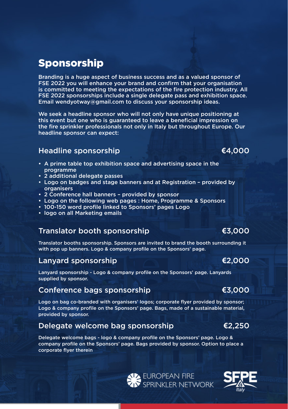## Sponsorship

Branding is a huge aspect of business success and as a valued sponsor of FSE 2022 you will enhance your brand and confirm that your organisation is committed to meeting the expectations of the fire protection industry. All FSE 2022 sponsorships include a single delegate pass and exhibition space. Email wendyotway@gmail.com to discuss your sponsorship ideas.

We seek a headline sponsor who will not only have unique positioning at this event but one who is guaranteed to leave a beneficial impression on the fire sprinkler professionals not only in Italy but throughout Europe. Our headline sponsor can expect:

### Headline sponsorship **€**4,000

- A prime table top exhibition space and advertising space in the programme
- 2 additional delegate passes
- Logo on badges and stage banners and at Registration provided by organisers
- 2 Conference hall banners provided by sponsor
- Logo on the following web pages : Home, Programme & Sponsors
- 100-150 word profile linked to Sponsors' pages Logo
- logo on all Marketing emails

#### Translator booth sponsorship **€**3,000

Translator booths sponsorship. Sponsors are invited to brand the booth surrounding it with pop up banners. Logo & company profile on the Sponsors' page.

#### Lanyard sponsorship **€**2,000

Lanyard sponsorship - Logo & company profile on the Sponsors' page. Lanyards supplied by sponsor.

# Conference bags sponsorship **€**3,000

Logo on bag co-branded with organisers' logos; corporate flyer provided by sponsor; Logo & company profile on the Sponsors' page. Bags, made of a sustainable material, provided by sponsor.

### Delegate welcome bag sponsorship **€**2,250

Delegate welcome bags - logo & company profile on the Sponsors' page. Logo & company profile on the Sponsors' page. Bags provided by sponsor. Option to place a corporate flyer therein

**LA EUROPEAN FIRE<br>IN SPRINKLER NETWORK**